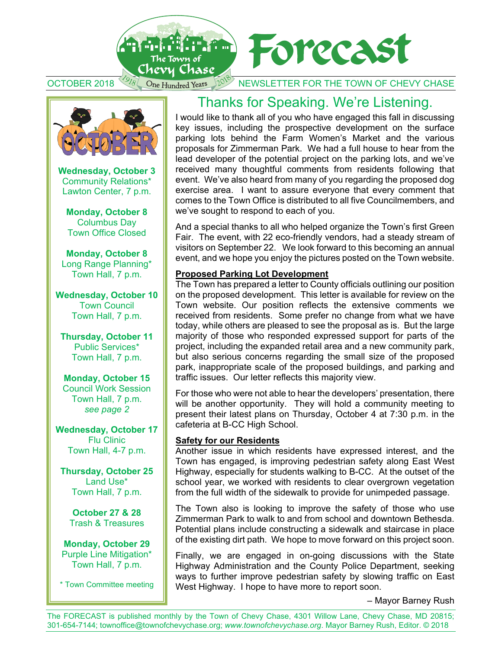

OCTOBER 2018  $\frac{37}{8}$  One Hundred Years  $10^{\circ}$  NEWSLETTER FOR THE TOWN OF CHEVY CHASE



**Wednesday, October 3** Community Relations\* Lawton Center, 7 p.m.

**Monday, October 8** Columbus Day Town Office Closed

**Monday, October 8** Long Range Planning\* Town Hall, 7 p.m.

**Wednesday, October 10**  Town Council Town Hall, 7 p.m.

**Thursday, October 11**  Public Services\* Town Hall, 7 p.m.

**Monday, October 15**  Council Work Session Town Hall, 7 p.m. *see page 2* 

**Wednesday, October 17**  Flu Clinic Town Hall, 4-7 p.m.

**Thursday, October 25**  Land Use\* Town Hall, 7 p.m.

**October 27 & 28** Trash & Treasures

**Monday, October 29**  Purple Line Mitigation\* Town Hall, 7 p.m.

\* Town Committee meeting

### Thanks for Speaking. We're Listening.

I would like to thank all of you who have engaged this fall in discussing key issues, including the prospective development on the surface parking lots behind the Farm Women's Market and the various proposals for Zimmerman Park. We had a full house to hear from the lead developer of the potential project on the parking lots, and we've received many thoughtful comments from residents following that event. We've also heard from many of you regarding the proposed dog exercise area. I want to assure everyone that every comment that comes to the Town Office is distributed to all five Councilmembers, and we've sought to respond to each of you.

And a special thanks to all who helped organize the Town's first Green Fair. The event, with 22 eco-friendly vendors, had a steady stream of visitors on September 22. We look forward to this becoming an annual event, and we hope you enjoy the pictures posted on the Town website.

#### **Proposed Parking Lot Development**

The Town has prepared a letter to County officials outlining our position on the proposed development. This letter is available for review on the Town website. Our position reflects the extensive comments we received from residents. Some prefer no change from what we have today, while others are pleased to see the proposal as is. But the large majority of those who responded expressed support for parts of the project, including the expanded retail area and a new community park, but also serious concerns regarding the small size of the proposed park, inappropriate scale of the proposed buildings, and parking and traffic issues. Our letter reflects this majority view.

For those who were not able to hear the developers' presentation, there will be another opportunity. They will hold a community meeting to present their latest plans on Thursday, October 4 at 7:30 p.m. in the cafeteria at B-CC High School.

#### **Safety for our Residents**

Another issue in which residents have expressed interest, and the Town has engaged, is improving pedestrian safety along East West Highway, especially for students walking to B-CC. At the outset of the school year, we worked with residents to clear overgrown vegetation from the full width of the sidewalk to provide for unimpeded passage.

The Town also is looking to improve the safety of those who use Zimmerman Park to walk to and from school and downtown Bethesda. Potential plans include constructing a sidewalk and staircase in place of the existing dirt path. We hope to move forward on this project soon.

Finally, we are engaged in on-going discussions with the State Highway Administration and the County Police Department, seeking ways to further improve pedestrian safety by slowing traffic on East West Highway. I hope to have more to report soon.

– Mayor Barney Rush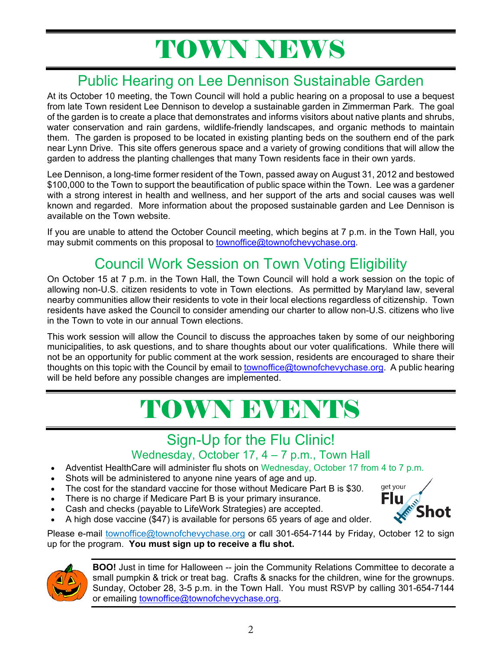# TOWN NEWS

# Public Hearing on Lee Dennison Sustainable Garden

At its October 10 meeting, the Town Council will hold a public hearing on a proposal to use a bequest from late Town resident Lee Dennison to develop a sustainable garden in Zimmerman Park. The goal of the garden is to create a place that demonstrates and informs visitors about native plants and shrubs, water conservation and rain gardens, wildlife-friendly landscapes, and organic methods to maintain them. The garden is proposed to be located in existing planting beds on the southern end of the park near Lynn Drive. This site offers generous space and a variety of growing conditions that will allow the garden to address the planting challenges that many Town residents face in their own yards.

Lee Dennison, a long-time former resident of the Town, passed away on August 31, 2012 and bestowed \$100,000 to the Town to support the beautification of public space within the Town. Lee was a gardener with a strong interest in health and wellness, and her support of the arts and social causes was well known and regarded. More information about the proposed sustainable garden and Lee Dennison is available on the Town website.

If you are unable to attend the October Council meeting, which begins at 7 p.m. in the Town Hall, you may submit comments on this proposal to townoffice@townofchevychase.org.

# Council Work Session on Town Voting Eligibility

On October 15 at 7 p.m. in the Town Hall, the Town Council will hold a work session on the topic of allowing non-U.S. citizen residents to vote in Town elections. As permitted by Maryland law, several nearby communities allow their residents to vote in their local elections regardless of citizenship. Town residents have asked the Council to consider amending our charter to allow non-U.S. citizens who live in the Town to vote in our annual Town elections.

This work session will allow the Council to discuss the approaches taken by some of our neighboring municipalities, to ask questions, and to share thoughts about our voter qualifications. While there will not be an opportunity for public comment at the work session, residents are encouraged to share their thoughts on this topic with the Council by email to townoffice@townofchevychase.org. A public hearing will be held before any possible changes are implemented.

# TOWN EVENTS

### Sign-Up for the Flu Clinic!

#### Wednesday, October 17, 4 – 7 p.m., Town Hall

- Adventist HealthCare will administer flu shots on Wednesday, October 17 from 4 to 7 p.m.
- Shots will be administered to anyone nine years of age and up.
- The cost for the standard vaccine for those without Medicare Part B is \$30.
- There is no charge if Medicare Part B is your primary insurance.
- Cash and checks (payable to LifeWork Strategies) are accepted.



A high dose vaccine (\$47) is available for persons 65 years of age and older.

Please e-mail townoffice@townofchevychase.org or call 301-654-7144 by Friday, October 12 to sign up for the program. **You must sign up to receive a flu shot.** 



**BOO!** Just in time for Halloween -- join the Community Relations Committee to decorate a small pumpkin & trick or treat bag. Crafts & snacks for the children, wine for the grownups. Sunday, October 28, 3-5 p.m. in the Town Hall. You must RSVP by calling 301-654-7144 or emailing townoffice@townofchevychase.org.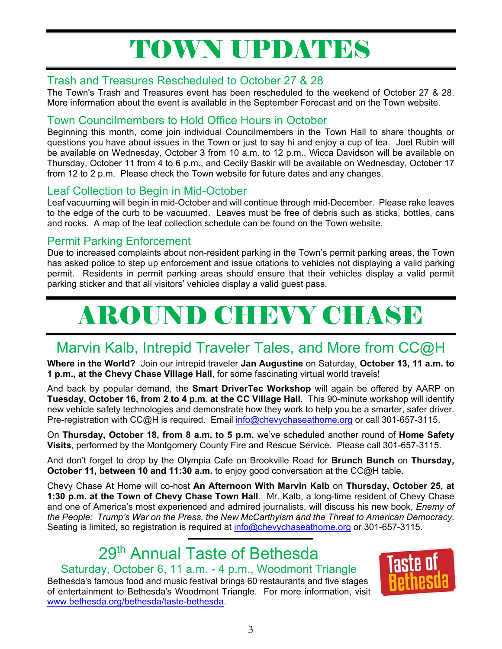# TOWN UPDATES

#### Trash and Treasures Rescheduled to October 27 & 28

The Town's Trash and Treasures event has been rescheduled to the weekend of October 27 & 28. More information about the event is available in the September Forecast and on the Town website.

#### Town Councilmembers to Hold Office Hours in October

Beginning this month, come join individual Councilmembers in the Town Hall to share thoughts or questions you have about issues in the Town or just to say hi and enjoy a cup of tea. Joel Rubin will be available on Wednesday, October 3 from 10 a.m. to 12 p.m., Wicca Davidson will be available on Thursday, October 11 from 4 to 6 p.m., and Cecily Baskir will be available on Wednesday, October 17 from 12 to 2 p.m. Please check the Town website for future dates and any changes.

#### Leaf Collection to Begin in Mid-October

Leaf vacuuming will begin in mid-October and will continue through mid-December. Please rake leaves to the edge of the curb to be vacuumed. Leaves must be free of debris such as sticks, bottles, cans and rocks. A map of the leaf collection schedule can be found on the Town website.

#### Permit Parking Enforcement

Due to increased complaints about non-resident parking in the Town's permit parking areas, the Town has asked police to step up enforcement and issue citations to vehicles not displaying a valid parking permit. Residents in permit parking areas should ensure that their vehicles display a valid permit parking sticker and that all visitors' vehicles display a valid guest pass.

# AROUND CHEVY CHASE

### Marvin Kalb, Intrepid Traveler Tales, and More from CC@H

**Where in the World?** Join our intrepid traveler **Jan Augustine** on Saturday, **October 13, 11 a.m. to 1 p.m., at the Chevy Chase Village Hall**, for some fascinating virtual world travels!

And back by popular demand, the **Smart DriverTec Workshop** will again be offered by AARP on **Tuesday, October 16, from 2 to 4 p.m. at the CC Village Hall**. This 90-minute workshop will identify new vehicle safety technologies and demonstrate how they work to help you be a smarter, safer driver. Pre-registration with CC@H is required. Email info@chevychaseathome.org or call 301-657-3115.

On **Thursday, October 18, from 8 a.m. to 5 p.m.** we've scheduled another round of **Home Safety Visits**, performed by the Montgomery County Fire and Rescue Service. Please call 301-657-3115.

And don't forget to drop by the Olympia Cafe on Brookville Road for **Brunch Bunch** on **Thursday, October 11, between 10 and 11:30 a.m.** to enjoy good conversation at the CC@H table.

Chevy Chase At Home will co-host **An Afternoon With Marvin Kalb** on **Thursday, October 25, at 1:30 p.m. at the Town of Chevy Chase Town Hall**. Mr. Kalb, a long-time resident of Chevy Chase and one of America's most experienced and admired journalists, will discuss his new book, *Enemy of the People: Trump's War on the Press, the New McCarthyism and the Threat to American Democracy.*  Seating is limited, so registration is required at info@chevychaseathome.org or 301-657-3115.

# 29<sup>th</sup> Annual Taste of Bethesda

Saturday, October 6, 11 a.m. - 4 p.m., Woodmont Triangle Bethesda's famous food and music festival brings 60 restaurants and five stages of entertainment to Bethesda's Woodmont Triangle. For more information, visit www.bethesda.org/bethesda/taste-bethesda.